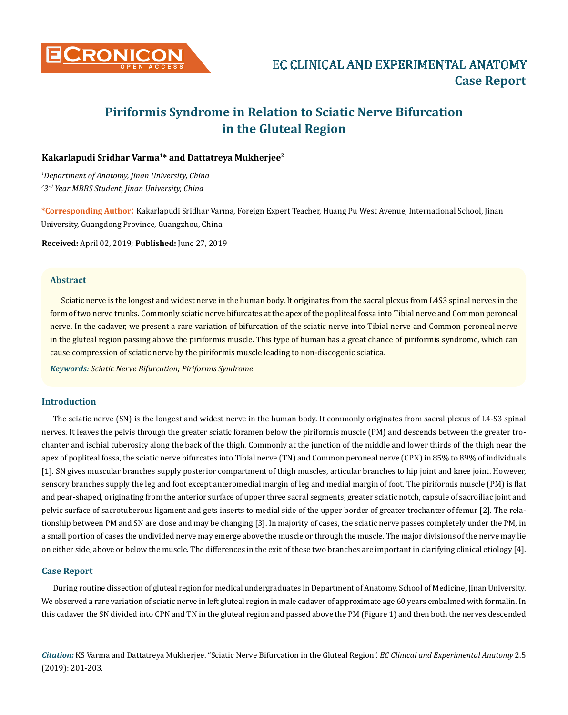

# **Piriformis Syndrome in Relation to Sciatic Nerve Bifurcation in the Gluteal Region**

# **Kakarlapudi Sridhar Varma1\* and Dattatreya Mukherjee2**

*1 Department of Anatomy, Jinan University, China 2 3rd Year MBBS Student, Jinan University, China*

**\*Corresponding Author**: Kakarlapudi Sridhar Varma, Foreign Expert Teacher, Huang Pu West Avenue, International School, Jinan University, Guangdong Province, Guangzhou, China.

**Received:** April 02, 2019; **Published:** June 27, 2019

## **Abstract**

Sciatic nerve is the longest and widest nerve in the human body. It originates from the sacral plexus from L4S3 spinal nerves in the form of two nerve trunks. Commonly sciatic nerve bifurcates at the apex of the popliteal fossa into Tibial nerve and Common peroneal nerve. In the cadaver, we present a rare variation of bifurcation of the sciatic nerve into Tibial nerve and Common peroneal nerve in the gluteal region passing above the piriformis muscle. This type of human has a great chance of piriformis syndrome, which can cause compression of sciatic nerve by the piriformis muscle leading to non-discogenic sciatica.

*Keywords: Sciatic Nerve Bifurcation; Piriformis Syndrome* 

#### **Introduction**

The sciatic nerve (SN) is the longest and widest nerve in the human body. It commonly originates from sacral plexus of L4-S3 spinal nerves. It leaves the pelvis through the greater sciatic foramen below the piriformis muscle (PM) and descends between the greater trochanter and ischial tuberosity along the back of the thigh. Commonly at the junction of the middle and lower thirds of the thigh near the apex of popliteal fossa, the sciatic nerve bifurcates into Tibial nerve (TN) and Common peroneal nerve (CPN) in 85% to 89% of individuals [1]. SN gives muscular branches supply posterior compartment of thigh muscles, articular branches to hip joint and knee joint. However, sensory branches supply the leg and foot except anteromedial margin of leg and medial margin of foot. The piriformis muscle (PM) is flat and pear-shaped, originating from the anterior surface of upper three sacral segments, greater sciatic notch, capsule of sacroiliac joint and pelvic surface of sacrotuberous ligament and gets inserts to medial side of the upper border of greater trochanter of femur [2]. The relationship between PM and SN are close and may be changing [3]. In majority of cases, the sciatic nerve passes completely under the PM, in a small portion of cases the undivided nerve may emerge above the muscle or through the muscle. The major divisions of the nerve may lie on either side, above or below the muscle. The differences in the exit of these two branches are important in clarifying clinical etiology [4].

#### **Case Report**

During routine dissection of gluteal region for medical undergraduates in Department of Anatomy, School of Medicine, Jinan University. We observed a rare variation of sciatic nerve in left gluteal region in male cadaver of approximate age 60 years embalmed with formalin. In this cadaver the SN divided into CPN and TN in the gluteal region and passed above the PM (Figure 1) and then both the nerves descended

*Citation:* KS Varma and Dattatreya Mukherjee. "Sciatic Nerve Bifurcation in the Gluteal Region". *EC Clinical and Experimental Anatomy* 2.5 (2019): 201-203.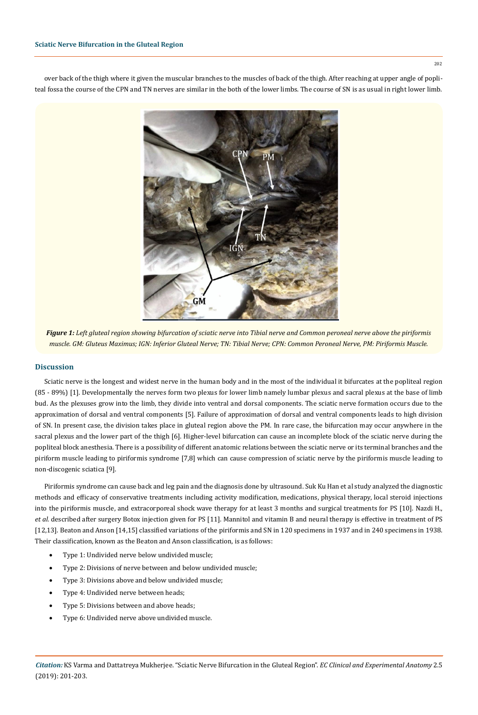over back of the thigh where it given the muscular branches to the muscles of back of the thigh. After reaching at upper angle of popliteal fossa the course of the CPN and TN nerves are similar in the both of the lower limbs. The course of SN is as usual in right lower limb.



*Figure 1: Left gluteal region showing bifurcation of sciatic nerve into Tibial nerve and Common peroneal nerve above the piriformis muscle. GM: Gluteus Maximus; IGN: Inferior Gluteal Nerve; TN: Tibial Nerve; CPN: Common Peroneal Nerve, PM: Piriformis Muscle.*

#### **Discussion**

Sciatic nerve is the longest and widest nerve in the human body and in the most of the individual it bifurcates at the popliteal region (85 - 89%) [1]. Developmentally the nerves form two plexus for lower limb namely lumbar plexus and sacral plexus at the base of limb bud. As the plexuses grow into the limb, they divide into ventral and dorsal components. The sciatic nerve formation occurs due to the approximation of dorsal and ventral components [5]. Failure of approximation of dorsal and ventral components leads to high division of SN. In present case, the division takes place in gluteal region above the PM. In rare case, the bifurcation may occur anywhere in the sacral plexus and the lower part of the thigh [6]. Higher-level bifurcation can cause an incomplete block of the sciatic nerve during the popliteal block anesthesia. There is a possibility of different anatomic relations between the sciatic nerve or its terminal branches and the piriform muscle leading to piriformis syndrome [7,8] which can cause compression of sciatic nerve by the piriformis muscle leading to non-discogenic sciatica [9].

Piriformis syndrome can cause back and leg pain and the diagnosis done by ultrasound. Suk Ku Han et al study analyzed the diagnostic methods and efficacy of conservative treatments including activity modification, medications, physical therapy, local steroid injections into the piriformis muscle, and extracorporeal shock wave therapy for at least 3 months and surgical treatments for PS [10]. Nazdi H., *et al.* described after surgery Botox injection given for PS [11]. Mannitol and vitamin B and neural therapy is effective in treatment of PS [12,13]. Beaton and Anson [14,15] classified variations of the piriformis and SN in 120 specimens in 1937 and in 240 specimens in 1938. Their classification, known as the Beaton and Anson classification, is as follows:

- Type 1: Undivided nerve below undivided muscle;
- Type 2: Divisions of nerve between and below undivided muscle;
- Type 3: Divisions above and below undivided muscle;
- Type 4: Undivided nerve between heads;
- Type 5: Divisions between and above heads;
- Type 6: Undivided nerve above undivided muscle.